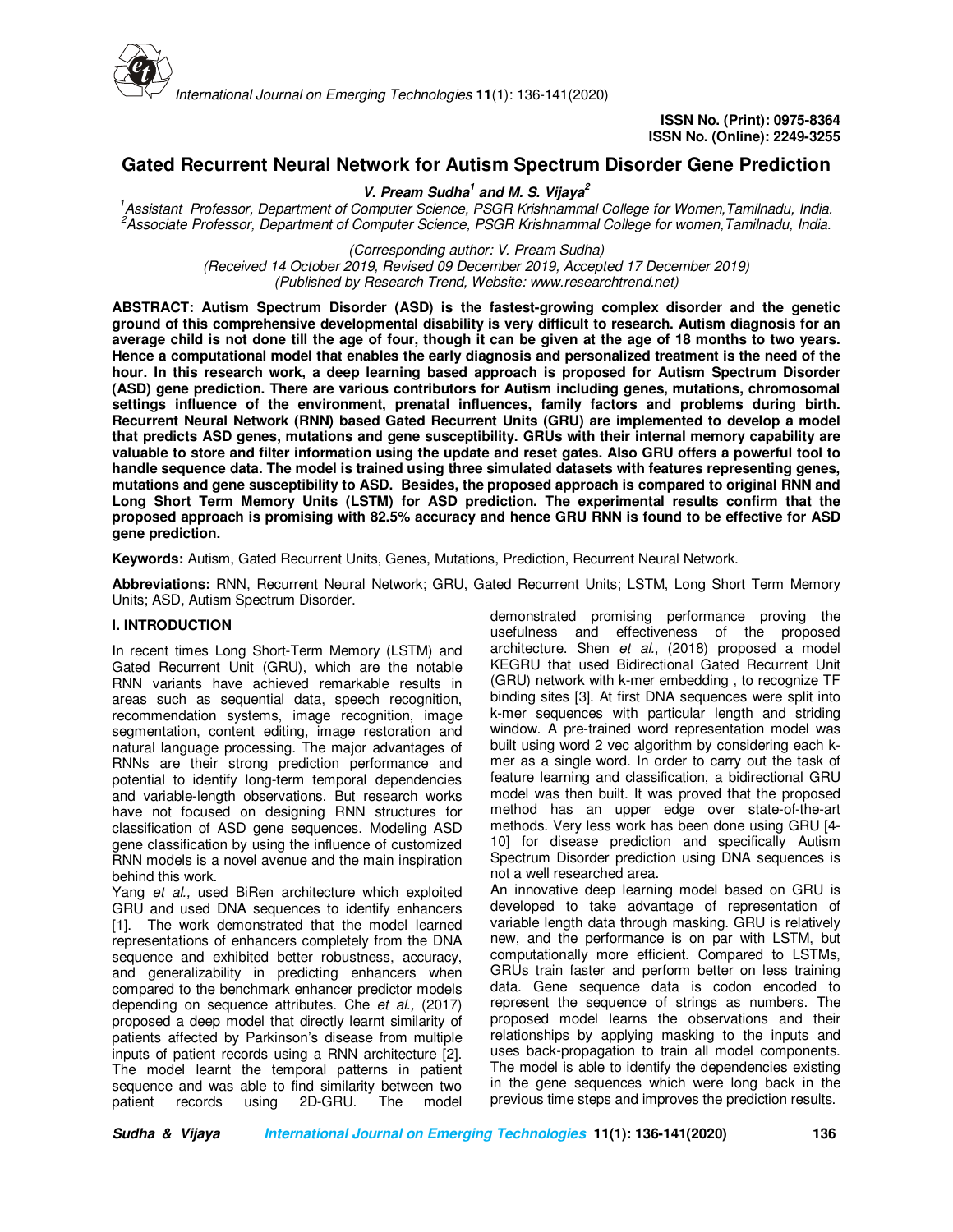

# **Gated Recurrent Neural Network for Autism Spectrum Disorder Gene Prediction**

# **V. Pream Sudha<sup>1</sup> and M. S. Vijaya<sup>2</sup>**

*<sup>1</sup>Assistant Professor, Department of Computer Science, PSGR Krishnammal College for Women,Tamilnadu, India. <sup>2</sup>Associate Professor, Department of Computer Science, PSGR Krishnammal College for women,Tamilnadu, India.*

> *(Corresponding author: V. Pream Sudha) (Received 14 October 2019, Revised 09 December 2019, Accepted 17 December 2019) (Published by Research Trend, Website: www.researchtrend.net)*

**ABSTRACT: Autism Spectrum Disorder (ASD) is the fastest-growing complex disorder and the genetic ground of this comprehensive developmental disability is very difficult to research. Autism diagnosis for an average child is not done till the age of four, though it can be given at the age of 18 months to two years. Hence a computational model that enables the early diagnosis and personalized treatment is the need of the hour. In this research work, a deep learning based approach is proposed for Autism Spectrum Disorder (ASD) gene prediction. There are various contributors for Autism including genes, mutations, chromosomal settings influence of the environment, prenatal influences, family factors and problems during birth. Recurrent Neural Network (RNN) based Gated Recurrent Units (GRU) are implemented to develop a model that predicts ASD genes, mutations and gene susceptibility. GRUs with their internal memory capability are valuable to store and filter information using the update and reset gates. Also GRU offers a powerful tool to handle sequence data. The model is trained using three simulated datasets with features representing genes, mutations and gene susceptibility to ASD. Besides, the proposed approach is compared to original RNN and Long Short Term Memory Units (LSTM) for ASD prediction. The experimental results confirm that the proposed approach is promising with 82.5% accuracy and hence GRU RNN is found to be effective for ASD gene prediction.** 

**Keywords:** Autism, Gated Recurrent Units, Genes, Mutations, Prediction, Recurrent Neural Network.

**Abbreviations:** RNN, Recurrent Neural Network; GRU, Gated Recurrent Units; LSTM, Long Short Term Memory Units; ASD, Autism Spectrum Disorder.

#### **I. INTRODUCTION**

In recent times Long Short-Term Memory (LSTM) and Gated Recurrent Unit (GRU), which are the notable RNN variants have achieved remarkable results in areas such as sequential data, speech recognition, recommendation systems, image recognition, image segmentation, content editing, image restoration and natural language processing. The major advantages of RNNs are their strong prediction performance and potential to identify long-term temporal dependencies and variable-length observations. But research works have not focused on designing RNN structures for classification of ASD gene sequences. Modeling ASD gene classification by using the influence of customized RNN models is a novel avenue and the main inspiration behind this work.

Yang *et al.,* used BiRen architecture which exploited GRU and used DNA sequences to identify enhancers [1]. The work demonstrated that the model learned representations of enhancers completely from the DNA sequence and exhibited better robustness, accuracy, and generalizability in predicting enhancers when compared to the benchmark enhancer predictor models depending on sequence attributes. Che *et al.,* (2017) proposed a deep model that directly learnt similarity of patients affected by Parkinson's disease from multiple inputs of patient records using a RNN architecture [2]. The model learnt the temporal patterns in patient sequence and was able to find similarity between two patient records using 2D-GRU. The model

demonstrated promising performance proving the usefulness and effectiveness of the proposed architecture. Shen *et al.*, (2018) proposed a model KEGRU that used Bidirectional Gated Recurrent Unit (GRU) network with k-mer embedding , to recognize TF binding sites [3]. At first DNA sequences were split into k-mer sequences with particular length and striding window. A pre-trained word representation model was built using word 2 vec algorithm by considering each kmer as a single word. In order to carry out the task of feature learning and classification, a bidirectional GRU model was then built. It was proved that the proposed method has an upper edge over state-of-the-art methods. Very less work has been done using GRU [4- 10] for disease prediction and specifically Autism Spectrum Disorder prediction using DNA sequences is not a well researched area.

An innovative deep learning model based on GRU is developed to take advantage of representation of variable length data through masking. GRU is relatively new, and the performance is on par with LSTM, but computationally more efficient. Compared to LSTMs, GRUs train faster and perform better on less training data. Gene sequence data is codon encoded to represent the sequence of strings as numbers. The proposed model learns the observations and their relationships by applying masking to the inputs and uses back-propagation to train all model components. The model is able to identify the dependencies existing in the gene sequences which were long back in the previous time steps and improves the prediction results.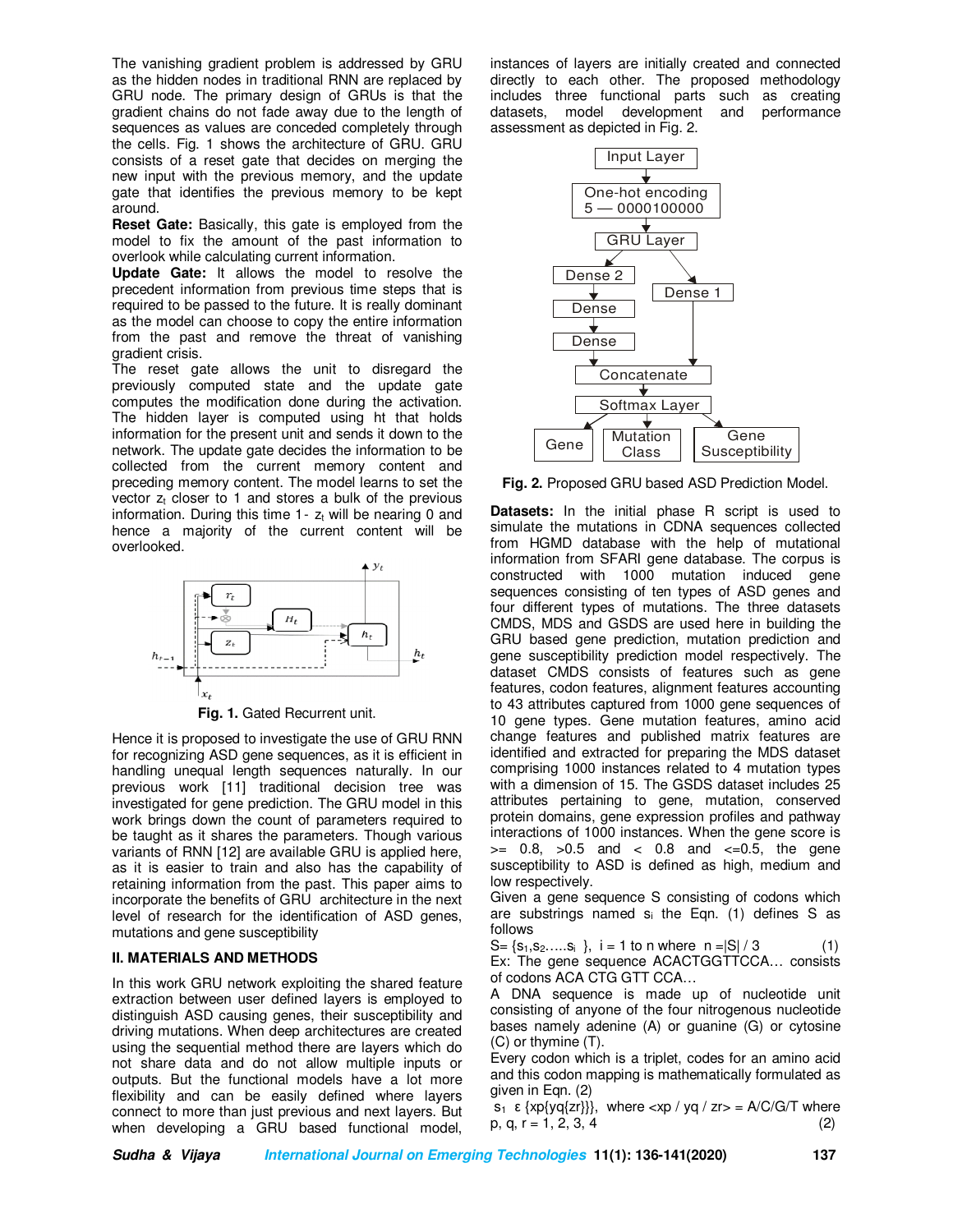The vanishing gradient problem is addressed by GRU as the hidden nodes in traditional RNN are replaced by GRU node. The primary design of GRUs is that the gradient chains do not fade away due to the length of sequences as values are conceded completely through the cells. Fig. 1 shows the architecture of GRU. GRU consists of a reset gate that decides on merging the new input with the previous memory, and the update gate that identifies the previous memory to be kept around.

**Reset Gate:** Basically, this gate is employed from the model to fix the amount of the past information to overlook while calculating current information.

**Update Gate:** It allows the model to resolve the precedent information from previous time steps that is required to be passed to the future. It is really dominant as the model can choose to copy the entire information from the past and remove the threat of vanishing gradient crisis.

The reset gate allows the unit to disregard the previously computed state and the update gate computes the modification done during the activation. The hidden layer is computed using ht that holds information for the present unit and sends it down to the network. The update gate decides the information to be collected from the current memory content and preceding memory content. The model learns to set the vector  $z_t$  closer to 1 and stores a bulk of the previous information. During this time  $1 - z_t$  will be nearing 0 and hence a majority of the current content will be overlooked.



**Fig. 1.** Gated Recurrent unit.

Hence it is proposed to investigate the use of GRU RNN for recognizing ASD gene sequences, as it is efficient in handling unequal length sequences naturally. In our previous work [11] traditional decision tree was investigated for gene prediction. The GRU model in this work brings down the count of parameters required to be taught as it shares the parameters. Though various variants of RNN [12] are available GRU is applied here, as it is easier to train and also has the capability of retaining information from the past. This paper aims to incorporate the benefits of GRU architecture in the next level of research for the identification of ASD genes, mutations and gene susceptibility

#### **II. MATERIALS AND METHODS**

In this work GRU network exploiting the shared feature extraction between user defined layers is employed to distinguish ASD causing genes, their susceptibility and driving mutations. When deep architectures are created using the sequential method there are layers which do not share data and do not allow multiple inputs or outputs. But the functional models have a lot more flexibility and can be easily defined where layers connect to more than just previous and next layers. But when developing a GRU based functional model,

instances of layers are initially created and connected directly to each other. The proposed methodology includes three functional parts such as creating datasets, model development and performance assessment as depicted in Fig. 2.



**Fig. 2.** Proposed GRU based ASD Prediction Model.

**Datasets:** In the initial phase R script is used to simulate the mutations in CDNA sequences collected from HGMD database with the help of mutational information from SFARI gene database. The corpus is constructed with 1000 mutation induced gene sequences consisting of ten types of ASD genes and four different types of mutations. The three datasets CMDS, MDS and GSDS are used here in building the GRU based gene prediction, mutation prediction and gene susceptibility prediction model respectively. The dataset CMDS consists of features such as gene features, codon features, alignment features accounting to 43 attributes captured from 1000 gene sequences of 10 gene types. Gene mutation features, amino acid change features and published matrix features are identified and extracted for preparing the MDS dataset comprising 1000 instances related to 4 mutation types with a dimension of 15. The GSDS dataset includes 25 attributes pertaining to gene, mutation, conserved protein domains, gene expression profiles and pathway interactions of 1000 instances. When the gene score is  $>= 0.8, >0.5$  and  $< 0.8$  and  $<=0.5,$  the gene susceptibility to ASD is defined as high, medium and low respectively.

Given a gene sequence S consisting of codons which are substrings named  $s_i$  the Eqn. (1) defines S as follows

 $S = \{s_1, s_2, \ldots, s_i\}$ , i = 1 to n where  $n = |S| / 3$  (1) Ex: The gene sequence ACACTGGTTCCA… consists of codons ACA CTG GTT CCA…

A DNA sequence is made up of nucleotide unit consisting of anyone of the four nitrogenous nucleotide bases namely adenine (A) or guanine (G) or cytosine (C) or thymine (T).

Every codon which is a triplet, codes for an amino acid and this codon mapping is mathematically formulated as given in Eqn. (2)

s<sub>1</sub> ε {xp{yq{zr}}}, where  $<$ xp / yq / zr> = A/C/G/T where  $p, q, r = 1, 2, 3, 4$  (2)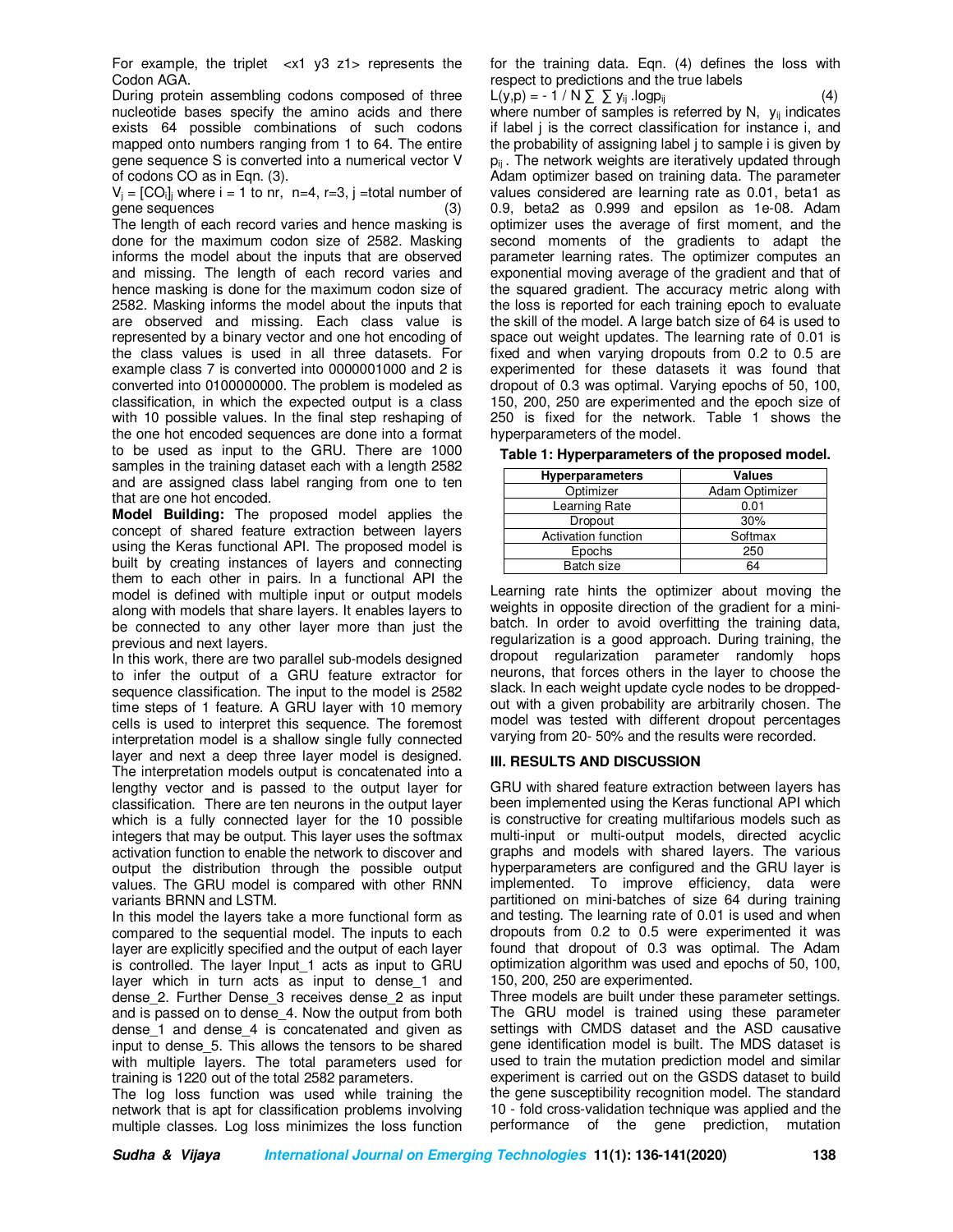For example, the triplet  $\langle x1 \rangle$  y  $z1$  represents the Codon AGA.

During protein assembling codons composed of three nucleotide bases specify the amino acids and there exists 64 possible combinations of such codons mapped onto numbers ranging from 1 to 64. The entire gene sequence S is converted into a numerical vector V of codons CO as in Eqn. (3).

 $V_i = [CO_i]$  where  $i = 1$  to nr, n=4, r=3, j =total number of gene sequences (3)

The length of each record varies and hence masking is done for the maximum codon size of 2582. Masking informs the model about the inputs that are observed and missing. The length of each record varies and hence masking is done for the maximum codon size of 2582. Masking informs the model about the inputs that are observed and missing. Each class value is represented by a binary vector and one hot encoding of the class values is used in all three datasets. For example class 7 is converted into 0000001000 and 2 is converted into 0100000000. The problem is modeled as classification, in which the expected output is a class with 10 possible values. In the final step reshaping of the one hot encoded sequences are done into a format to be used as input to the GRU. There are 1000 samples in the training dataset each with a length 2582 and are assigned class label ranging from one to ten that are one hot encoded.

**Model Building:** The proposed model applies the concept of shared feature extraction between layers using the Keras functional API. The proposed model is built by creating instances of layers and connecting them to each other in pairs. In a functional API the model is defined with multiple input or output models along with models that share layers. It enables layers to be connected to any other layer more than just the previous and next layers.

In this work, there are two parallel sub-models designed to infer the output of a GRU feature extractor for sequence classification. The input to the model is 2582 time steps of 1 feature. A GRU layer with 10 memory cells is used to interpret this sequence. The foremost interpretation model is a shallow single fully connected layer and next a deep three layer model is designed. The interpretation models output is concatenated into a lengthy vector and is passed to the output layer for classification. There are ten neurons in the output layer which is a fully connected layer for the 10 possible integers that may be output. This layer uses the softmax activation function to enable the network to discover and output the distribution through the possible output values. The GRU model is compared with other RNN variants BRNN and LSTM.

In this model the layers take a more functional form as compared to the sequential model. The inputs to each layer are explicitly specified and the output of each layer is controlled. The layer Input\_1 acts as input to GRU layer which in turn acts as input to dense\_1 and dense\_2. Further Dense\_3 receives dense\_2 as input and is passed on to dense\_4. Now the output from both dense 1 and dense 4 is concatenated and given as input to dense 5. This allows the tensors to be shared with multiple layers. The total parameters used for training is 1220 out of the total 2582 parameters.

The log loss function was used while training the network that is apt for classification problems involving multiple classes. Log loss minimizes the loss function for the training data. Eqn. (4) defines the loss with respect to predictions and the true labels

 $L(y,p) = -1/N \sum y_{ij}$ .logp<sub>ij</sub> where number of samples is referred by N,  $y_{ii}$  indicates if label j is the correct classification for instance i, and the probability of assigning label j to sample i is given by  $p_{ij}$ . The network weights are iteratively updated through Adam optimizer based on training data. The parameter values considered are learning rate as 0.01, beta1 as 0.9, beta2 as 0.999 and epsilon as 1e-08. Adam optimizer uses the average of first moment, and the second moments of the gradients to adapt the parameter learning rates. The optimizer computes an exponential moving average of the gradient and that of the squared gradient. The accuracy metric along with the loss is reported for each training epoch to evaluate the skill of the model. A large batch size of 64 is used to space out weight updates. The learning rate of 0.01 is fixed and when varying dropouts from 0.2 to 0.5 are experimented for these datasets it was found that dropout of 0.3 was optimal. Varying epochs of 50, 100, 150, 200, 250 are experimented and the epoch size of 250 is fixed for the network. Table 1 shows the hyperparameters of the model.

|  |  |  |  |  |  |  |  | Table 1: Hyperparameters of the proposed model. |
|--|--|--|--|--|--|--|--|-------------------------------------------------|
|--|--|--|--|--|--|--|--|-------------------------------------------------|

| Hyperparameters     | <b>Values</b>  |
|---------------------|----------------|
| Optimizer           | Adam Optimizer |
| Learning Rate       | 0.01           |
| Dropout             | 30%            |
| Activation function | Softmax        |
| Epochs              | 250            |
| Batch size          | 64             |

Learning rate hints the optimizer about moving the weights in opposite direction of the gradient for a minibatch. In order to avoid overfitting the training data, regularization is a good approach. During training, the dropout regularization parameter randomly hops neurons, that forces others in the layer to choose the slack. In each weight update cycle nodes to be droppedout with a given probability are arbitrarily chosen. The model was tested with different dropout percentages varying from 20- 50% and the results were recorded.

#### **III. RESULTS AND DISCUSSION**

GRU with shared feature extraction between layers has been implemented using the Keras functional API which is constructive for creating multifarious models such as multi-input or multi-output models, directed acyclic graphs and models with shared layers. The various hyperparameters are configured and the GRU layer is implemented. To improve efficiency, data were partitioned on mini-batches of size 64 during training and testing. The learning rate of 0.01 is used and when dropouts from 0.2 to 0.5 were experimented it was found that dropout of 0.3 was optimal. The Adam optimization algorithm was used and epochs of 50, 100, 150, 200, 250 are experimented.

Three models are built under these parameter settings. The GRU model is trained using these parameter settings with CMDS dataset and the ASD causative gene identification model is built. The MDS dataset is used to train the mutation prediction model and similar experiment is carried out on the GSDS dataset to build the gene susceptibility recognition model. The standard 10 - fold cross-validation technique was applied and the performance of the gene prediction, mutation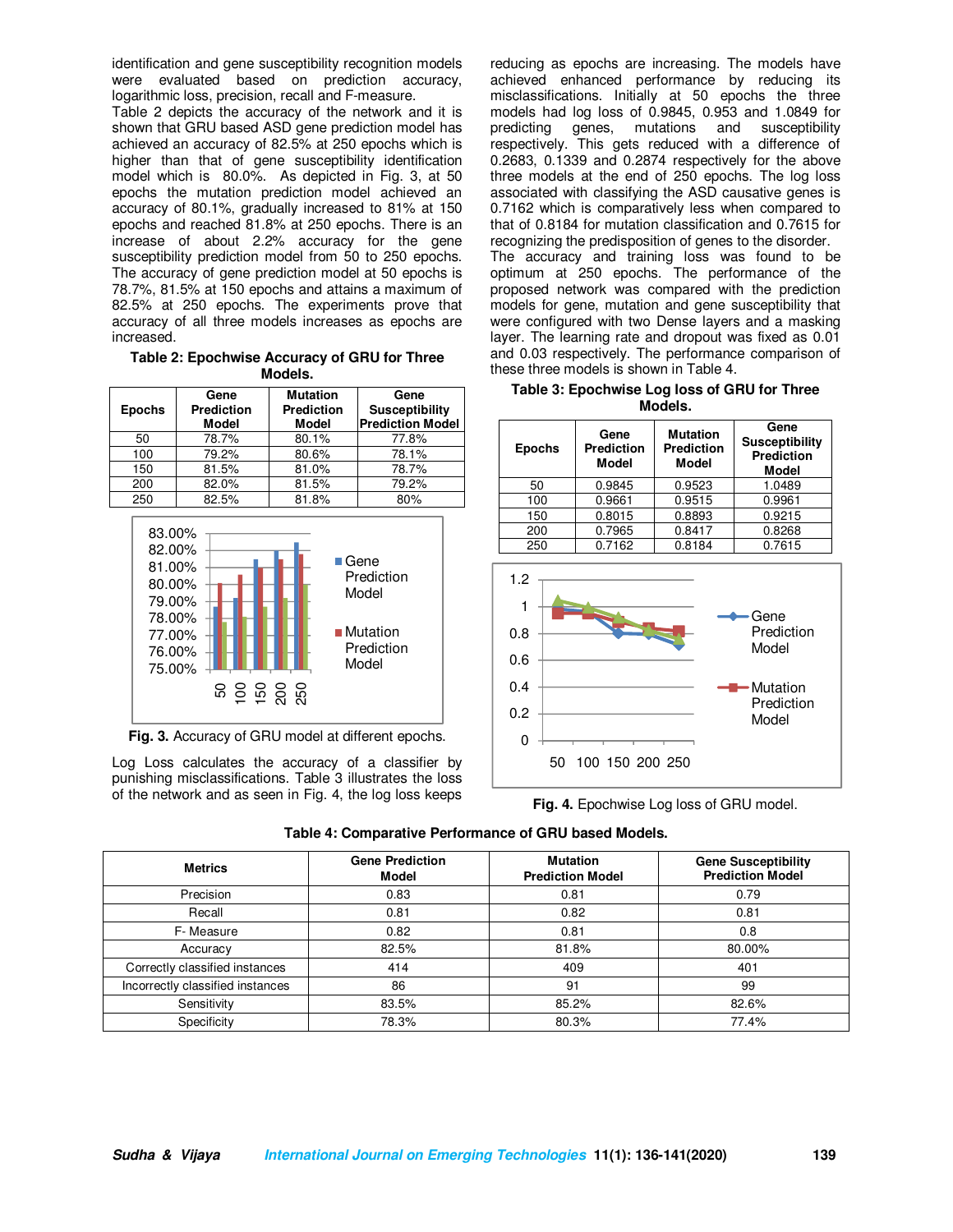identification and gene susceptibility recognition models were evaluated based on prediction accuracy, logarithmic loss, precision, recall and F-measure.

Table 2 depicts the accuracy of the network and it is shown that GRU based ASD gene prediction model has achieved an accuracy of 82.5% at 250 epochs which is higher than that of gene susceptibility identification model which is 80.0%. As depicted in Fig. 3, at 50 epochs the mutation prediction model achieved an accuracy of 80.1%, gradually increased to 81% at 150 epochs and reached 81.8% at 250 epochs. There is an increase of about 2.2% accuracy for the gene susceptibility prediction model from 50 to 250 epochs. The accuracy of gene prediction model at 50 epochs is 78.7%, 81.5% at 150 epochs and attains a maximum of 82.5% at 250 epochs. The experiments prove that accuracy of all three models increases as epochs are increased.

**Table 2: Epochwise Accuracy of GRU for Three Models.** 

| <b>Epochs</b> | Gene<br><b>Prediction</b><br><b>Model</b> | <b>Mutation</b><br><b>Prediction</b><br><b>Model</b> | Gene<br><b>Susceptibility</b><br><b>Prediction Model</b> |
|---------------|-------------------------------------------|------------------------------------------------------|----------------------------------------------------------|
| 50            | 78.7%                                     | 80.1%                                                | 77.8%                                                    |
| 100           | 79.2%                                     | 80.6%                                                | 78.1%                                                    |
| 150           | 81.5%                                     | 81.0%                                                | 78.7%                                                    |
| 200           | 82.0%                                     | 81.5%                                                | 79.2%                                                    |
| 250           | 82.5%                                     | 81.8%                                                | 80%                                                      |



**Fig. 3.** Accuracy of GRU model at different epochs.

Log Loss calculates the accuracy of a classifier by punishing misclassifications. Table 3 illustrates the loss of the network and as seen in Fig. 4, the log loss keeps reducing as epochs are increasing. The models have achieved enhanced performance by reducing its misclassifications. Initially at 50 epochs the three models had log loss of 0.9845, 0.953 and 1.0849 for predicting genes, mutations and susceptibility respectively. This gets reduced with a difference of 0.2683, 0.1339 and 0.2874 respectively for the above three models at the end of 250 epochs. The log loss associated with classifying the ASD causative genes is 0.7162 which is comparatively less when compared to that of 0.8184 for mutation classification and 0.7615 for recognizing the predisposition of genes to the disorder. The accuracy and training loss was found to be optimum at 250 epochs. The performance of the proposed network was compared with the prediction models for gene, mutation and gene susceptibility that were configured with two Dense layers and a masking layer. The learning rate and dropout was fixed as 0.01 and 0.03 respectively. The performance comparison of these three models is shown in Table 4.

| Table 3: Epochwise Log loss of GRU for Three |
|----------------------------------------------|
| Models.                                      |

| <b>Epochs</b> | Gene<br><b>Prediction</b><br><b>Model</b> | <b>Mutation</b><br><b>Prediction</b><br><b>Model</b> | Gene<br><b>Susceptibility</b><br><b>Prediction</b><br><b>Model</b> |  |  |
|---------------|-------------------------------------------|------------------------------------------------------|--------------------------------------------------------------------|--|--|
| 50            | 0.9845                                    | 0.9523                                               | 1.0489                                                             |  |  |
| 100           | 0.9661                                    | 0.9515                                               | 0.9961                                                             |  |  |
| 150           | 0.8015                                    | 0.8893                                               | 0.9215                                                             |  |  |
| 200           | 0.7965                                    | 0.8417                                               | 0.8268                                                             |  |  |
| 250           | 0.7162                                    | 0.8184                                               | 0.7615                                                             |  |  |





| Table 4: Comparative Performance of GRU based Models. |
|-------------------------------------------------------|
|-------------------------------------------------------|

| <b>Metrics</b>                   | <b>Gene Prediction</b><br><b>Model</b> | <b>Mutation</b><br><b>Prediction Model</b> | <b>Gene Susceptibility</b><br><b>Prediction Model</b> |
|----------------------------------|----------------------------------------|--------------------------------------------|-------------------------------------------------------|
| Precision                        | 0.83                                   | 0.81                                       | 0.79                                                  |
| Recall                           | 0.81                                   | 0.82                                       | 0.81                                                  |
| F-Measure                        | 0.82                                   | 0.81                                       | 0.8                                                   |
| Accuracy                         | 82.5%                                  | 81.8%                                      | 80.00%                                                |
| Correctly classified instances   | 414                                    | 409                                        | 401                                                   |
| Incorrectly classified instances | 86                                     | 91                                         | 99                                                    |
| Sensitivity                      | 83.5%                                  | 85.2%                                      | 82.6%                                                 |
| Specificity                      | 78.3%                                  | 80.3%                                      | 77.4%                                                 |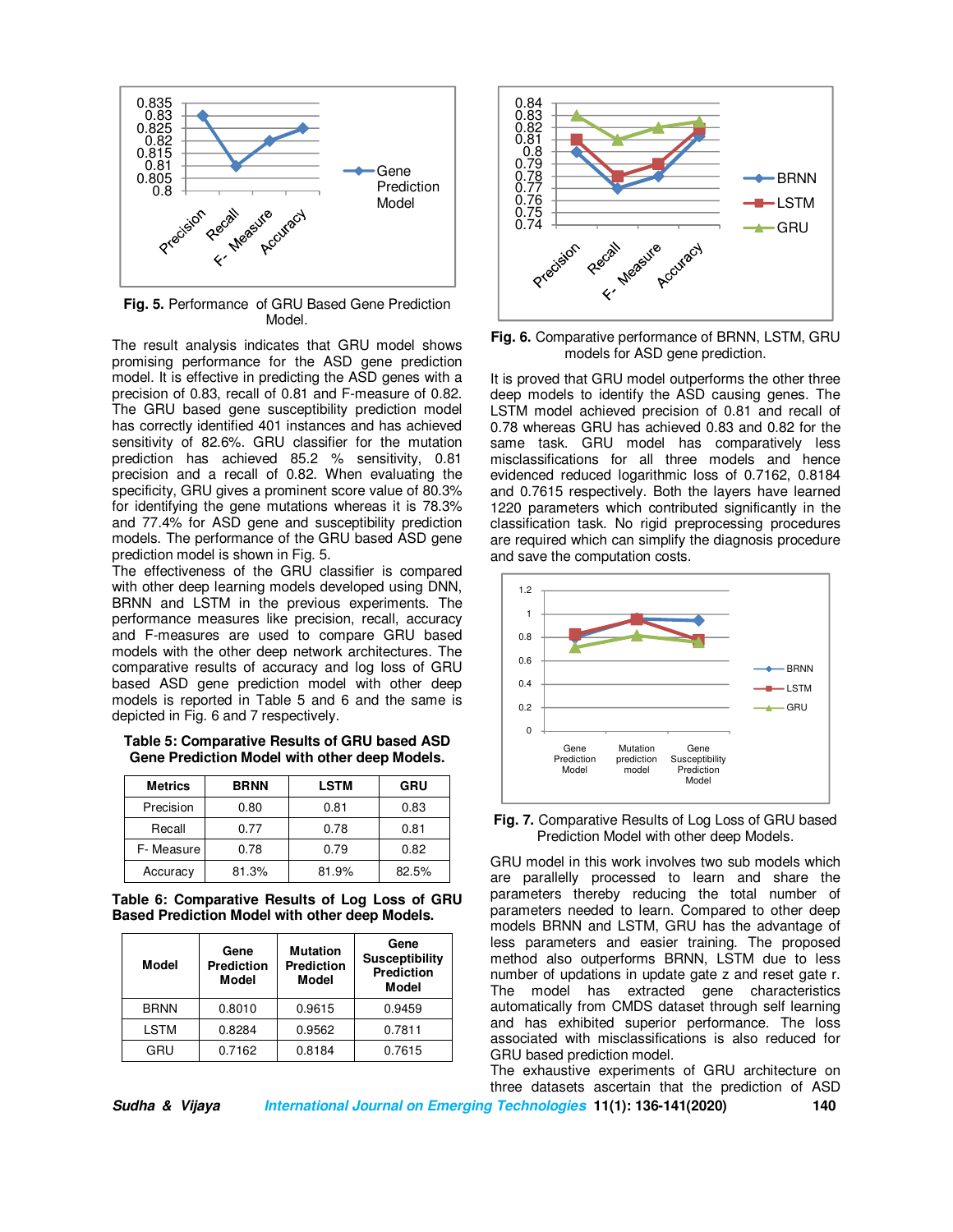

**Fig. 5.** Performance of GRU Based Gene Prediction Model.

The result analysis indicates that GRU model shows promising performance for the ASD gene prediction model. It is effective in predicting the ASD genes with a precision of 0.83, recall of 0.81 and F-measure of 0.82. The GRU based gene susceptibility prediction model has correctly identified 401 instances and has achieved sensitivity of 82.6%. GRU classifier for the mutation prediction has achieved 85.2 % sensitivity, 0.81 precision and a recall of 0.82. When evaluating the specificity, GRU gives a prominent score value of 80.3% for identifying the gene mutations whereas it is 78.3% and 77.4% for ASD gene and susceptibility prediction models. The performance of the GRU based ASD gene prediction model is shown in Fig. 5.

The effectiveness of the GRU classifier is compared with other deep learning models developed using DNN, BRNN and LSTM in the previous experiments. The performance measures like precision, recall, accuracy and F-measures are used to compare GRU based models with the other deep network architectures. The comparative results of accuracy and log loss of GRU based ASD gene prediction model with other deep models is reported in Table 5 and 6 and the same is depicted in Fig. 6 and 7 respectively.

**Table 5: Comparative Results of GRU based ASD Gene Prediction Model with other deep Models.** 

| <b>Metrics</b> | <b>BRNN</b> | <b>LSTM</b> | GRU   |
|----------------|-------------|-------------|-------|
| Precision      | 0.80        | 0.81        | 0.83  |
| Recall         | 0.77        | 0.78        | 0.81  |
| F-Measure      | 0.78        | 0.79        | 0.82  |
| Accuracy       | 81.3%       | 81.9%       | 82.5% |

**Table 6: Comparative Results of Log Loss of GRU Based Prediction Model with other deep Models.** 

| Model       | Gene<br><b>Prediction</b><br>Model | <b>Mutation</b><br>Prediction<br>Model | Gene<br><b>Susceptibility</b><br><b>Prediction</b><br><b>Model</b> |
|-------------|------------------------------------|----------------------------------------|--------------------------------------------------------------------|
| <b>BRNN</b> | 0.8010                             | 0.9615                                 | 0.9459                                                             |
| <b>LSTM</b> | 0.8284                             | 0.9562                                 | 0.7811                                                             |
| GRU         | 0.7162                             | 0.8184                                 | 0.7615                                                             |



**Fig. 6.** Comparative performance of BRNN, LSTM, GRU models for ASD gene prediction.

It is proved that GRU model outperforms the other three deep models to identify the ASD causing genes. The LSTM model achieved precision of 0.81 and recall of 0.78 whereas GRU has achieved 0.83 and 0.82 for the same task. GRU model has comparatively less misclassifications for all three models and hence evidenced reduced logarithmic loss of 0.7162, 0.8184 and 0.7615 respectively. Both the layers have learned 1220 parameters which contributed significantly in the classification task. No rigid preprocessing procedures are required which can simplify the diagnosis procedure and save the computation costs.



**Fig. 7.** Comparative Results of Log Loss of GRU based Prediction Model with other deep Models.

GRU model in this work involves two sub models which are parallelly processed to learn and share the parameters thereby reducing the total number of parameters needed to learn. Compared to other deep models BRNN and LSTM, GRU has the advantage of less parameters and easier training. The proposed method also outperforms BRNN, LSTM due to less number of updations in update gate z and reset gate r. The model has extracted gene characteristics automatically from CMDS dataset through self learning and has exhibited superior performance. The loss associated with misclassifications is also reduced for GRU based prediction model.

The exhaustive experiments of GRU architecture on three datasets ascertain that the prediction of ASD

**Sudha & Vijaya International Journal on Emerging Technologies 11(1): 136-141(2020) 140**